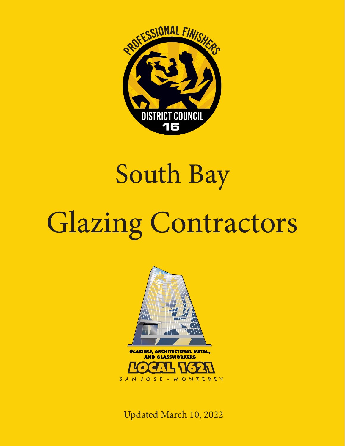

## South Bay

## Glazing Contractors



Updated March 10, 2022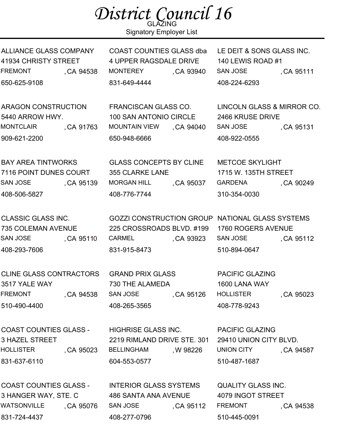| District Council 16 |                |  |
|---------------------|----------------|--|
|                     | <b>GLAZING</b> |  |

Signatory Employer List

ALLIANCE GLASS COMPANY 41934 CHRISTY STREET FREMONT , CA 94538 650-625-9108

ARAGON CONSTRUCTION 5440 ARROW HWY. MONTCLAIR
GALLER CA 91763 909-621-2200

BAY AREA TINTWORKS 7116 POINT DUNES COURT SAN JOSE (CA 95139 408-506-5827

CLASSIC GLASS INC. 735 COLEMAN AVENUE SAN JOSE , CA 95110 408-293-7606

CLINE GLASS CONTRACTORS 3517 YALE WAY FREMONT , CA 94538 510-490-4400

COAST COUNTIES GLASS - 3 HAZEL STREET HOLLISTER , CA 95023 831-637-6110

COAST COUNTIES GLASS - 3 HANGER WAY, STE. C WATSONVILLE 831-724-4437 CA 95076 COAST COUNTIES GLASS dba 4 UPPER RAGSDALE DRIVE MONTEREY , CA 93940 831-649-4444 LE DEIT & SONS GLASS INC. 140 LEWIS ROAD #1 SAN JOSE (CA 95111 408-224-6293

FRANCISCAN GLASS CO. 100 SAN ANTONIO CIRCLE **MOUNTAIN VIEW** 650-948-6666 , CA 94040

GLASS CONCEPTS BY CLINE 355 CLARKE LANE **MORGAN HILL** 408-776-7744 , CA 95037

GOZZI CONSTRUCTION GROUP NATIONAL GLASS SYSTEMS 225 CROSSROADS BLVD. #199 CARMEL CA 93923 , 831-915-8473

GRAND PRIX GLASS 730 THE ALAMEDA SAN JOSE (CA 95126 408-265-3565

2219 RIMLAND DRIVE STE. 301

, W 98226

HIGHRISE GLASS INC.

**BELLINGHAM** 

604-553-0577

408-277-0796

PACIFIC GLAZING 1600 LANA WAY **HOLLISTER** 408-778-9243 CA 95023

PACIFIC GLAZING 29410 UNION CITY BLVD. UNION CITY , CA 94587 510-487-1687

INTERIOR GLASS SYSTEMS 486 SANTA ANA AVENUE SAN JOSE (CA 95112 QUALITY GLASS INC. 4079 INGOT STREET FREMONT , CA 94538 510-445-0091

2466 KRUSE DRIVE SAN JOSE , CA 95131 408-922-0555 METCOE SKYLIGHT

LINCOLN GLASS & MIRROR CO.

1715 W. 135TH STREET GARDENA
, CA 90249 310-354-0030

1760 ROGERS AVENUE SAN JOSE (CA 95112 510-894-0647